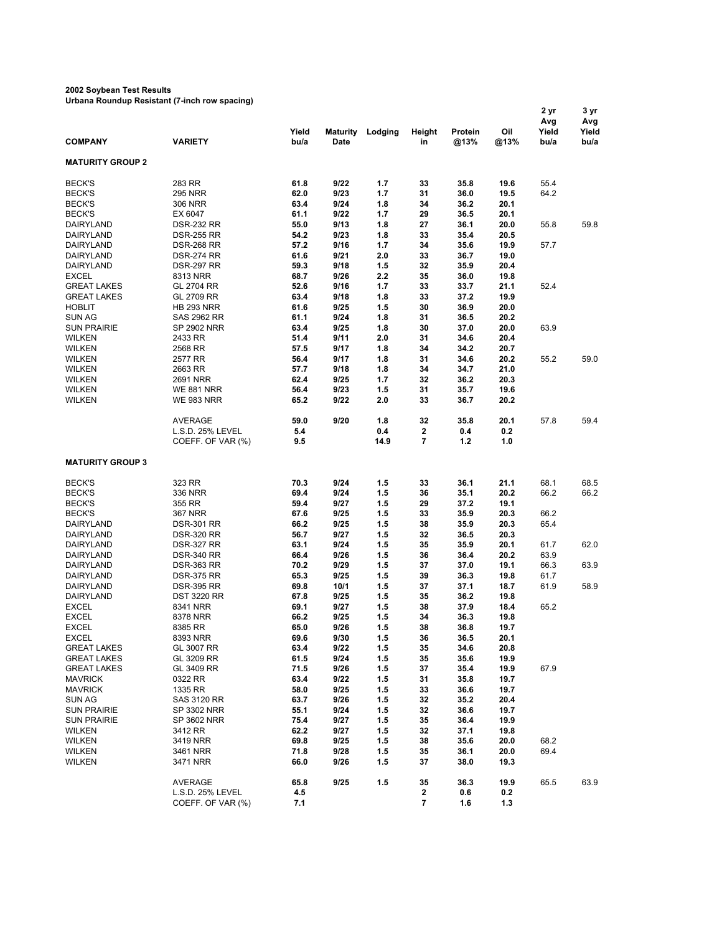## **2002 Soybean Test Results**

**Urbana Roundup Resistant (7-inch row spacing)**

|                                |                      | Yield        | Maturity     | Lodging    | Height                       | Protein      | Oil          | 2 yr<br>Avg<br>Yield | 3 yr<br>Avg<br>Yield |
|--------------------------------|----------------------|--------------|--------------|------------|------------------------------|--------------|--------------|----------------------|----------------------|
| <b>COMPANY</b>                 | <b>VARIETY</b>       | bu/a         | <b>Date</b>  |            | in                           | @13%         | @13%         | bu/a                 | bu/a                 |
| <b>MATURITY GROUP 2</b>        |                      |              |              |            |                              |              |              |                      |                      |
| <b>BECK'S</b>                  | 283 RR               | 61.8         | 9/22         | 1.7        | 33                           | 35.8         | 19.6         | 55.4                 |                      |
| <b>BECK'S</b>                  | <b>295 NRR</b>       | 62.0         | 9/23         | 1.7        | 31                           | 36.0         | 19.5         | 64.2                 |                      |
| <b>BECK'S</b>                  | <b>306 NRR</b>       | 63.4         | 9/24         | 1.8        | 34                           | 36.2         | 20.1         |                      |                      |
| <b>BECK'S</b>                  | EX 6047              | 61.1         | 9/22         | 1.7        | 29                           | 36.5         | 20.1         |                      |                      |
| DAIRYLAND                      | <b>DSR-232 RR</b>    | 55.0         | 9/13         | 1.8        | 27                           | 36.1         | 20.0         | 55.8                 | 59.8                 |
| DAIRYLAND                      | <b>DSR-255 RR</b>    | 54.2         | 9/23         | 1.8        | 33                           | 35.4         | 20.5         |                      |                      |
| DAIRYLAND                      | <b>DSR-268 RR</b>    | 57.2         | 9/16         | 1.7        | 34                           | 35.6         | 19.9         | 57.7                 |                      |
| DAIRYLAND                      | <b>DSR-274 RR</b>    | 61.6         | 9/21         | 2.0        | 33                           | 36.7         | 19.0         |                      |                      |
| DAIRYLAND                      | <b>DSR-297 RR</b>    | 59.3         | 9/18         | 1.5        | 32                           | 35.9         | 20.4         |                      |                      |
| <b>EXCEL</b>                   | 8313 NRR             | 68.7         | 9/26         | 2.2        | 35                           | 36.0         | 19.8         |                      |                      |
| <b>GREAT LAKES</b>             | GL 2704 RR           | 52.6         | 9/16         | 1.7        | 33                           | 33.7         | 21.1         | 52.4                 |                      |
| <b>GREAT LAKES</b>             | GL 2709 RR           | 63.4         | 9/18         | 1.8        | 33                           | 37.2         | 19.9         |                      |                      |
| <b>HOBLIT</b>                  | <b>HB 293 NRR</b>    | 61.6         | 9/25         | 1.5        | 30                           | 36.9         | 20.0         |                      |                      |
| <b>SUN AG</b>                  | SAS 2962 RR          | 61.1<br>63.4 | 9/24<br>9/25 | 1.8        | 31<br>30                     | 36.5         | 20.2         | 63.9                 |                      |
| <b>SUN PRAIRIE</b>             | <b>SP 2902 NRR</b>   |              |              | 1.8        |                              | 37.0         | 20.0         |                      |                      |
| <b>WILKEN</b>                  | 2433 RR              | 51.4         | 9/11         | 2.0        | 31                           | 34.6         | 20.4         |                      |                      |
| <b>WILKEN</b>                  | 2568 RR              | 57.5<br>56.4 | 9/17         | 1.8        | 34                           | 34.2         | 20.7         |                      | 59.0                 |
| <b>WILKEN</b>                  | 2577 RR              | 57.7         | 9/17<br>9/18 | 1.8        | 31<br>34                     | 34.6<br>34.7 | 20.2         | 55.2                 |                      |
| <b>WILKEN</b><br><b>WILKEN</b> | 2663 RR<br>2691 NRR  | 62.4         | 9/25         | 1.8<br>1.7 | 32                           | 36.2         | 21.0<br>20.3 |                      |                      |
| <b>WILKEN</b>                  | <b>WE 881 NRR</b>    | 56.4         | 9/23         | 1.5        | 31                           | 35.7         | 19.6         |                      |                      |
| <b>WILKEN</b>                  | <b>WE 983 NRR</b>    | 65.2         | 9/22         | 2.0        | 33                           | 36.7         | 20.2         |                      |                      |
|                                |                      |              |              |            |                              |              |              |                      |                      |
|                                | <b>AVERAGE</b>       | 59.0         | 9/20         | 1.8        | 32                           | 35.8         | 20.1         | 57.8                 | 59.4                 |
|                                | L.S.D. 25% LEVEL     | 5.4          |              | 0.4        | 2                            | 0.4          | 0.2          |                      |                      |
|                                | COEFF. OF VAR (%)    | 9.5          |              | 14.9       | 7                            | 1.2          | 1.0          |                      |                      |
| <b>MATURITY GROUP 3</b>        |                      |              |              |            |                              |              |              |                      |                      |
| <b>BECK'S</b>                  | 323 RR               | 70.3         | 9/24         | 1.5        | 33                           | 36.1         | 21.1         | 68.1                 | 68.5                 |
| <b>BECK'S</b>                  | 336 NRR              | 69.4         | 9/24         | 1.5        | 36                           | 35.1         | 20.2         | 66.2                 | 66.2                 |
| <b>BECK'S</b>                  | 355 RR               | 59.4         | 9/27         | 1.5        | 29                           | 37.2         | 19.1         |                      |                      |
| <b>BECK'S</b>                  | <b>367 NRR</b>       | 67.6         | 9/25         | 1.5        | 33                           | 35.9         | 20.3         | 66.2                 |                      |
| DAIRYLAND                      | <b>DSR-301 RR</b>    | 66.2         | 9/25         | 1.5        | 38                           | 35.9         | 20.3         | 65.4                 |                      |
| DAIRYLAND                      | <b>DSR-320 RR</b>    | 56.7         | 9/27         | 1.5        | 32                           | 36.5         | 20.3         |                      |                      |
| DAIRYLAND                      | <b>DSR-327 RR</b>    | 63.1         | 9/24         | 1.5        | 35                           | 35.9         | 20.1         | 61.7                 | 62.0                 |
| DAIRYLAND                      | <b>DSR-340 RR</b>    | 66.4         | 9/26         | 1.5        | 36                           | 36.4         | 20.2         | 63.9                 |                      |
| DAIRYLAND                      | <b>DSR-363 RR</b>    | 70.2         | 9/29         | 1.5        | 37                           | 37.0         | 19.1         | 66.3                 | 63.9                 |
| DAIRYLAND                      | <b>DSR-375 RR</b>    | 65.3         | 9/25         | 1.5        | 39                           | 36.3         | 19.8         | 61.7                 |                      |
| DAIRYLAND                      | <b>DSR-395 RR</b>    | 69.8         | 10/1         | 1.5        | 37                           | 37.1         | 18.7         | 61.9                 | 58.9                 |
| DAIRYLAND                      | <b>DST 3220 RR</b>   | 67.8         | 9/25         | 1.5        | 35                           | 36.2         | 19.8         |                      |                      |
| <b>EXCEL</b>                   | 8341 NRR             | 69.1         | 9/27         | 1.5        | 38                           | 37.9         | 18.4         | 65.2                 |                      |
| <b>EXCEL</b>                   | 8378 NRR             | 66.2         | 9/25         | 1.5        | 34                           | 36.3         | 19.8         |                      |                      |
| <b>EXCEL</b>                   | 8385 RR              | 65.0         | 9/26         | 1.5        | 38                           | 36.8         | 19.7         |                      |                      |
| <b>EXCEL</b>                   | 8393 NRR             | 69.6         | 9/30         | 1.5        | 36                           | 36.5         | 20.1         |                      |                      |
| <b>GREAT LAKES</b>             | GL 3007 RR           | 63.4         | 9/22         | 1.5        | 35                           | 34.6         | 20.8         |                      |                      |
| <b>GREAT LAKES</b>             | GL 3209 RR           | 61.5         | 9/24         | 1.5        | 35                           | 35.6         | 19.9         |                      |                      |
| <b>GREAT LAKES</b>             | GL 3409 RR           | 71.5         | 9/26         | 1.5        | 37                           | 35.4         | 19.9         | 67.9                 |                      |
| <b>MAVRICK</b>                 | 0322 RR              | 63.4         | 9/22         | 1.5        | 31                           | 35.8         | 19.7         |                      |                      |
| <b>MAVRICK</b>                 | 1335 RR              | 58.0         | 9/25         | 1.5        | 33                           | 36.6         | 19.7         |                      |                      |
| <b>SUN AG</b>                  | SAS 3120 RR          | 63.7         | 9/26         | 1.5        | 32                           | 35.2         | 20.4         |                      |                      |
| <b>SUN PRAIRIE</b>             | SP 3302 NRR          | 55.1         | 9/24         | 1.5        | 32                           | 36.6         | 19.7         |                      |                      |
| <b>SUN PRAIRIE</b>             | SP 3602 NRR          | 75.4         | 9/27         | 1.5        | 35                           | 36.4         | 19.9         |                      |                      |
| <b>WILKEN</b>                  | 3412 RR              | 62.2         | 9/27         | 1.5        | 32                           | 37.1         | 19.8         |                      |                      |
| <b>WILKEN</b>                  | 3419 NRR             | 69.8         | 9/25         | 1.5        | 38                           | 35.6         | 20.0         | 68.2                 |                      |
| <b>WILKEN</b><br>WILKEN        | 3461 NRR<br>3471 NRR | 71.8<br>66.0 | 9/28<br>9/26 | 1.5<br>1.5 | 35<br>37                     | 36.1<br>38.0 | 20.0<br>19.3 | 69.4                 |                      |
|                                |                      |              |              |            |                              |              |              |                      |                      |
|                                | AVERAGE              | 65.8         | 9/25         | 1.5        | 35                           | 36.3         | 19.9         | 65.5                 | 63.9                 |
|                                | L.S.D. 25% LEVEL     | 4.5<br>7.1   |              |            | 2<br>$\overline{\mathbf{r}}$ | 0.6<br>1.6   | 0.2<br>1.3   |                      |                      |
|                                | COEFF. OF VAR (%)    |              |              |            |                              |              |              |                      |                      |